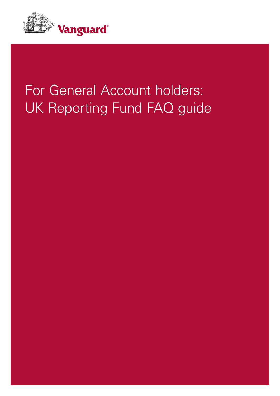

# For General Account holders: UK Reporting Fund FAQ guide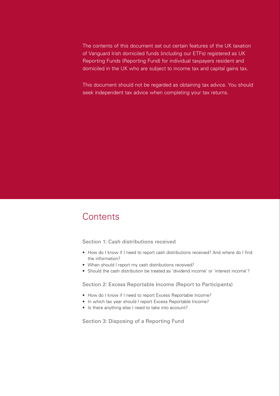The contents of this document set out certain features of the UK taxation of Vanguard Irish domiciled funds (including our ETFs) registered as UK Reporting Funds (Reporting Fund) for individual taxpayers resident and domiciled in the UK who are subject to income tax and capital gains tax.

This document should not be regarded as obtaining tax advice. You should seek independent tax advice when completing your tax returns.

## **Contents**

Section 1: Cash distributions received

- How do I know if I need to report cash distributions received? And where do I find the information?
- When should I report my cash distributions received?
- Should the cash distribution be treated as 'dividend income' or 'interest income'?

Section 2: Excess Reportable Income (Report to Participants)

- How do I know if I need to report Excess Reportable Income?
- In which tax year should I report Excess Reportable Income?
- Is there anything else I need to take into account?

Section 3: Disposing of a Reporting Fund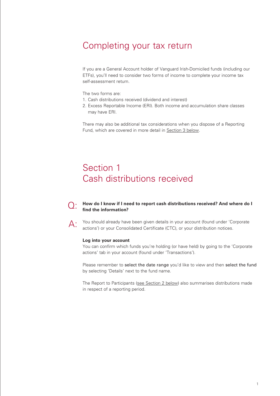# Completing your tax return

If you are a General Account holder of Vanguard Irish-Domiciled funds (including our ETFs), you'll need to consider two forms of income to complete your income tax self-assessment return.

The two forms are:

- 1. Cash distributions received (dividend and interest)
- 2. Excess Reportable Income (ERI). Both income and accumulation share classes may have ERI.

There may also be additional tax considerations when you dispose of a Reporting Fund, which are covered in more detail in Section 3 below.

# Section 1 Cash distributions received

### Q: **How do I know if I need to report cash distributions received? And where do I find the information?**



A: You should already have been given details in your account (found under 'Corporate actions') or your Consolidated Certificate (CTC), or your distribution notices.

#### **Log into your account**

You can confirm which funds you're holding (or have held) by going to the 'Corporate actions' tab in your account (found under 'Transactions').

Please remember to select the date range you'd like to view and then select the fund by selecting 'Details' next to the fund name.

The Report to Participants (see Section 2 below) also summarises distributions made in respect of a reporting period.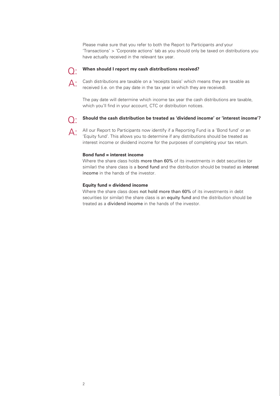Please make sure that you refer to both the Report to Participants *and* your 'Transactions' > 'Corporate actions' tab as you should only be taxed on distributions you have actually received in the relevant tax year.

### Q: **When should I report my cash distributions received?**



 $\Delta$ . Cash distributions are taxable on a 'receipts basis' which means they are taxable as received (i.e. on the pay date in the tax year in which they are received).

The pay date will determine which income tax year the cash distributions are taxable, which you'll find in your account, CTC or distribution notices.



### Q: **Should the cash distribution be treated as 'dividend income' or 'interest income'?**

 $\mathsf{\Delta}\cdot$  All our Report to Participants now identify if a Reporting Fund is a 'Bond fund' or an 'Equity fund'. This allows you to determine if any distributions should be treated as interest income or dividend income for the purposes of completing your tax return.

#### **Bond fund = interest income**

Where the share class holds more than 60% of its investments in debt securities (or similar) the share class is a bond fund and the distribution should be treated as interest income in the hands of the investor.

#### **Equity fund = dividend income**

Where the share class does not hold more than 60% of its investments in debt securities (or similar) the share class is an equity fund and the distribution should be treated as a dividend income in the hands of the investor.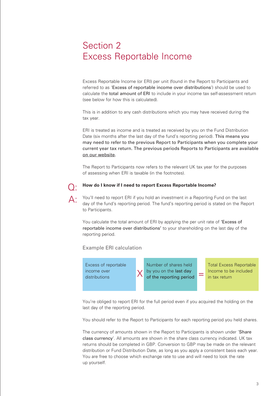# Section 2 Excess Reportable Income

Excess Reportable Income (or ERI) per unit (found in the Report to Participants and referred to as 'Excess of reportable income over distributions') should be used to calculate the total amount of ERI to include in your income tax self-assessment return (see below for how this is calculated).

This is in addition to any cash distributions which you may have received during the tax year.

ERI is treated as income and is treated as received by you on the Fund Distribution Date (six months after the last day of the fund's reporting period). This means you may need to refer to the previous Report to Participants when you complete your current year tax return. The previous periods Reports to Participants are available on our website.

The Report to Participants now refers to the relevant UK tax year for the purposes of assessing when ERI is taxable (in the footnotes).



### Q: **How do I know if I need to report Excess Reportable Income?**

 $\mathsf{\Delta}\cdot$  You'll need to report ERI if you hold an investment in a Reporting Fund on the last day of the fund's reporting period. The fund's reporting period is stated on the Report to Participants.

You calculate the total amount of ERI by applying the per unit rate of 'Excess of reportable income over distributions' to your shareholding on the last day of the reporting period.

### Example ERI calculation

Excess of reportable income over distributions

Number of shares held by you on the last day  $X \begin{array}{|l|}$  by you on the last day  $X \begin{array}{|l|} \hline \end{array}$  in tax return

Total Excess Reportable

You're obliged to report ERI for the full period even if you acquired the holding on the last day of the reporting period.

You should refer to the Report to Participants for each reporting period you held shares.

The currency of amounts shown in the Report to Participants is shown under 'Share class currency'. All amounts are shown in the share class currency indicated. UK tax returns should be completed in GBP. Conversion to GBP may be made on the relevant distribution or Fund Distribution Date, as long as you apply a consistent basis each year. You are free to choose which exchange rate to use and will need to look the rate up yourself.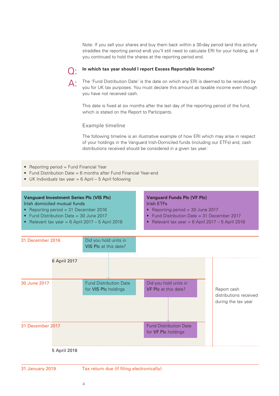Note: If you sell your shares and buy them back within a 30-day period (and this activity straddles the reporting period end) you'll still need to calculate ERI for your holding, as if you continued to hold the shares at the reporting period end.

### **O**. In which tax year should I report Excess Reportable Income?



 $\Delta$ . The 'Fund Distribution Date' is the date on which any ERI is deemed to be received by you for UK tax purposes. You must declare this amount as taxable income even though you have not received cash.

This date is fixed at six months after the last day of the reporting period of the fund, which is stated on the Report to Participants.

### Example timeline

The following timeline is an illustrative example of how ERI which may arise in respect of your holdings in the Vanguard Irish-Domiciled funds (including our ETFs) and, cash distributions received should be considered in a given tax year:

- Reporting period = Fund Financial Year
- Fund Distribution Date = 6 months after Fund Financial Year-end
- UK Individuals tax year  $= 6$  April 5 April following

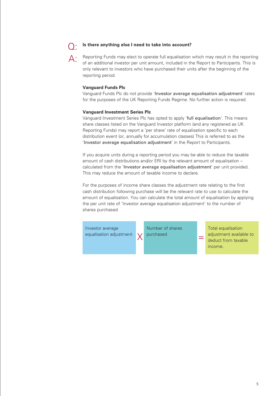### Q: **Is there anything else I need to take into account?**

A: Reporting Funds may elect to operate full equalisation which may result in the reporting of an additional investor per unit amount, included in the Report to Participants. This is only relevant to investors who have purchased their units after the beginning of the reporting period.

#### **Vanguard Funds Plc**

Vanguard Funds Plc do not provide 'Investor average equalisation adjustment' rates for the purposes of the UK Reporting Funds Regime. No further action is required.

#### **Vanguard Investment Series Plc**

Vanguard Investment Series Plc has opted to apply 'full equalisation'. This means share classes listed on the Vanguard Investor platform (and any registered as UK Reporting Funds) may report a 'per share' rate of equalisation specific to each distribution event (or, annually for accumulation classes) This is referred to as the 'Investor average equalisation adjustment' in the Report to Participants.

If you acquire units during a reporting period you may be able to reduce the taxable amount of cash distributions and/or ERI by the relevant amount of equalisation – calculated from the 'Investor average equalisation adjustment' per unit provided. This may reduce the amount of taxable income to declare.

For the purposes of income share classes the adjustment rate relating to the first cash distribution following purchase will be the relevant rate to use to calculate the amount of equalisation. You can calculate the total amount of equalisation by applying the per unit rate of 'Investor average equalisation adjustment' to the number of shares purchased.

Investor average equalisation adjustment Number of shares

 $X$  purchased  $=$ 

Total equalisation adjustment available to deduct from taxable income.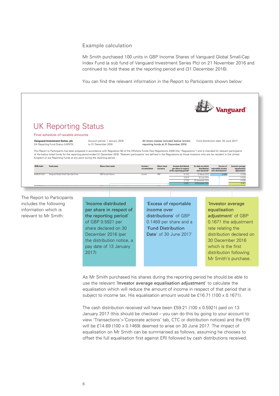Example calculation

Mr Smith purchased 100 units in GBP Income Shares of Vanguard Global Small-Cap Index Fund (a sub fund of Vanguard Investment Series Plc) on 21 November 2016 and continued to hold these at the reporting period end (31 December 2016).

You can find the relevant information in the Report to Participants shown below:



es the following **Come distributed Contains the Series of reportable Containery Contains the following contains the following of the following contains the following contains the following contains the following cont** includes the following information which is relevant to Mr Smith:

ation which is example respect of the section of the income over the sequalisation nt to Mr Smith: The reporting period' distributions' of GBP adjustment' of GB nt to Mr Smith: The reporting period' and individual of GBP and adjustment' of GB of GBP 0.5921 per **1988** 0.1469 per share and a **1988** 0.1671 the adjustm December 2016 (per **Institution Global Shares Accumulation** Geclare Accumulation Shares Accumulation Shares Accumu IE00BPT2BC07 Vanguard Global Small-Cap Index Fund GBP Institutional Plus Income Shares Income GBP 0.4554 31 March 2016 0.0000 0.0948 'Income distributed of GBP 0.5921 per share declared on 30 December 2016 (per the distribution notice, a pay date of 13 January 2017)

income over 'Fund Distribution

**Property** 30 and 2016 30 and 2019 30  $\frac{1}{2}$  rate relating the 017 distribution declared on **20.5898 30 December 2016 1.4670 30 September 2016 30 September 2016 30 September 2016 30 September 2016 30 September 2016 30 September 2016 30 September 2016 30 September 2016 30 September 2016 30 September 2016 30 September 2016 30 September 201** 'Investor average equalisation adjustment' of GBP 0.1671 the adjustment distribution following Mr Smith's purchase.

As Mr Smith purchased his shares during the reporting period he should be able to use the relevant 'Investor average equalisation adjustment' to calculate the equalisation which will reduce the amount of income in respect of that period that is subject to income tax. His equalisation amount would be £16.71 (100 x 0.1671).

The cash distribution received will have been £59.21 (100 x 0.5921) paid on 13 January 2017 (this should be checked – you can do this by going to your account to view 'Transactions'>'Corporate actions' tab, CTC or distribution notices) and the ERI will be £14.69 (100 x 0.1469) deemed to arise on 30 June 2017. The impact of equalisation on Mr Smith can be summarised as follows, assuming he chooses to offset the full equalisation first against ERI followed by cash distributions received.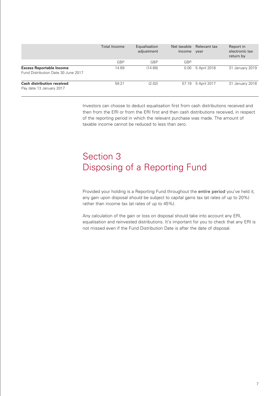|                                                                        | Total Income | Equalisation<br>adjustment | Net taxable<br>income | Relevant tax<br>year | Report in<br>electronic tax<br>return by |
|------------------------------------------------------------------------|--------------|----------------------------|-----------------------|----------------------|------------------------------------------|
|                                                                        | <b>GBP</b>   | GBP                        | <b>GBP</b>            |                      |                                          |
| <b>Excess Reportable Income</b><br>Fund Distribution Date 30 June 2017 | 14.69        | (14.69)                    | 0.00                  | 5 April 2018         | 31 January 2019                          |
| <b>Cash distribution received</b><br>Pay date 13 January 2017          | 59.21        | (2.02)                     | 57.19                 | 5 April 2017         | 31 January 2018                          |

Investors can choose to deduct equalisation first from cash distributions received and then from the ERI or from the ERI first and then cash distributions received, in respect of the reporting period in which the relevant purchase was made. The amount of taxable income cannot be reduced to less than zero.

# Section 3 Disposing of a Reporting Fund

Provided your holding is a Reporting Fund throughout the entire period you've held it, any gain upon disposal should be subject to capital gains tax (at rates of up to 20%) rather than income tax (at rates of up to 45%).

Any calculation of the gain or loss on disposal should take into account any ERI, equalisation and reinvested distributions. It's important for you to check that any ERI is not missed even if the Fund Distribution Date is after the date of disposal.